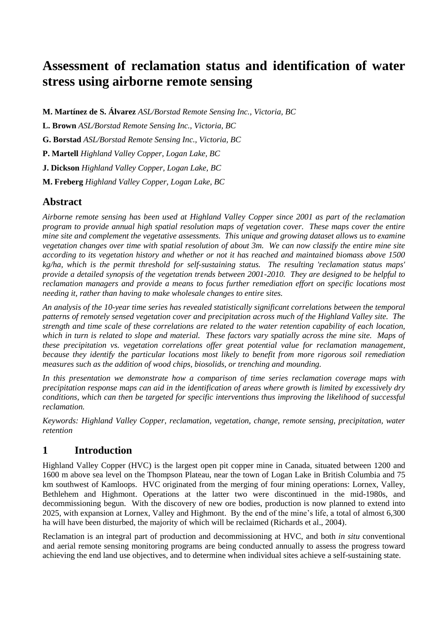# **Assessment of reclamation status and identification of water stress using airborne remote sensing**

**M. Martínez de S. Álvarez** *ASL/Borstad Remote Sensing Inc., Victoria, BC*

**L. Brown** *ASL/Borstad Remote Sensing Inc., Victoria, BC*

**G. Borstad** *ASL/Borstad Remote Sensing Inc., Victoria, BC*

**P. Martell** *Highland Valley Copper, Logan Lake, BC*

**J. Dickson** *Highland Valley Copper, Logan Lake, BC*

**M. Freberg** *Highland Valley Copper, Logan Lake, BC*

# **Abstract**

*Airborne remote sensing has been used at Highland Valley Copper since 2001 as part of the reclamation program to provide annual high spatial resolution maps of vegetation cover. These maps cover the entire mine site and complement the vegetative assessments. This unique and growing dataset allows us to examine vegetation changes over time with spatial resolution of about 3m. We can now classify the entire mine site according to its vegetation history and whether or not it has reached and maintained biomass above 1500 kg/ha, which is the permit threshold for self-sustaining status. The resulting 'reclamation status maps' provide a detailed synopsis of the vegetation trends between 2001-2010. They are designed to be helpful to reclamation managers and provide a means to focus further remediation effort on specific locations most needing it, rather than having to make wholesale changes to entire sites.*

*An analysis of the 10-year time series has revealed statistically significant correlations between the temporal patterns of remotely sensed vegetation cover and precipitation across much of the Highland Valley site. The strength and time scale of these correlations are related to the water retention capability of each location, which in turn is related to slope and material. These factors vary spatially across the mine site. Maps of these precipitation vs. vegetation correlations offer great potential value for reclamation management, because they identify the particular locations most likely to benefit from more rigorous soil remediation measures such as the addition of wood chips, biosolids, or trenching and mounding.*

*In this presentation we demonstrate how a comparison of time series reclamation coverage maps with precipitation response maps can aid in the identification of areas where growth is limited by excessively dry conditions, which can then be targeted for specific interventions thus improving the likelihood of successful reclamation.*

*Keywords: Highland Valley Copper, reclamation, vegetation, change, remote sensing, precipitation, water retention*

# **1 Introduction**

Highland Valley Copper (HVC) is the largest open pit copper mine in Canada, situated between 1200 and 1600 m above sea level on the Thompson Plateau, near the town of Logan Lake in British Columbia and 75 km southwest of Kamloops. HVC originated from the merging of four mining operations: Lornex, Valley, Bethlehem and Highmont. Operations at the latter two were discontinued in the mid-1980s, and decommissioning begun. With the discovery of new ore bodies, production is now planned to extend into 2025, with expansion at Lornex, Valley and Highmont. By the end of the mine's life, a total of almost 6,300 ha will have been disturbed, the majority of which will be reclaimed (Richards et al., 2004).

Reclamation is an integral part of production and decommissioning at HVC, and both *in situ* conventional and aerial remote sensing monitoring programs are being conducted annually to assess the progress toward achieving the end land use objectives, and to determine when individual sites achieve a self-sustaining state.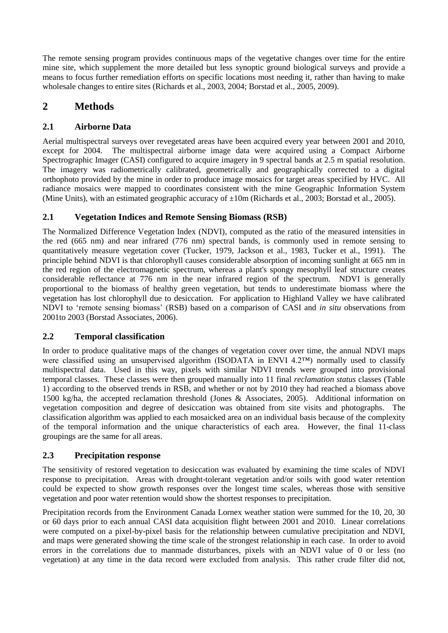The remote sensing program provides continuous maps of the vegetative changes over time for the entire mine site, which supplement the more detailed but less synoptic ground biological surveys and provide a means to focus further remediation efforts on specific locations most needing it, rather than having to make wholesale changes to entire sites (Richards et al., 2003, 2004; Borstad et al., 2005, 2009).

# **2 Methods**

### **2.1 Airborne Data**

Aerial multispectral surveys over revegetated areas have been acquired every year between 2001 and 2010, except for 2004. The multispectral airborne image data were acquired using a Compact Airborne Spectrographic Imager (CASI) configured to acquire imagery in 9 spectral bands at 2.5 m spatial resolution. The imagery was radiometrically calibrated, geometrically and geographically corrected to a digital orthophoto provided by the mine in order to produce image mosaics for target areas specified by HVC. All radiance mosaics were mapped to coordinates consistent with the mine Geographic Information System (Mine Units), with an estimated geographic accuracy of  $\pm 10$ m (Richards et al., 2003; Borstad et al., 2005).

### **2.1 Vegetation Indices and Remote Sensing Biomass (RSB)**

The Normalized Difference Vegetation Index (NDVI), computed as the ratio of the measured intensities in the red (665 nm) and near infrared (776 nm) spectral bands, is commonly used in remote sensing to quantitatively measure vegetation cover (Tucker, 1979, Jackson et al., 1983, Tucker et al., 1991). The principle behind NDVI is that chlorophyll causes considerable absorption of incoming sunlight at 665 nm in the red region of the electromagnetic spectrum, whereas a plant's spongy mesophyll leaf structure creates considerable reflectance at 776 nm in the near infrared region of the spectrum. NDVI is generally proportional to the biomass of healthy green vegetation, but tends to underestimate biomass where the vegetation has lost chlorophyll due to desiccation. For application to Highland Valley we have calibrated NDVI to 'remote sensing biomass' (RSB) based on a comparison of CASI and *in situ* observations from 2001to 2003 (Borstad Associates, 2006).

### **2.2 Temporal classification**

In order to produce qualitative maps of the changes of vegetation cover over time, the annual NDVI maps were classified using an unsupervised algorithm (ISODATA in ENVI 4.2™) normally used to classify multispectral data. Used in this way, pixels with similar NDVI trends were grouped into provisional temporal classes. These classes were then grouped manually into 11 final *reclamation status* classes (Table 1) according to the observed trends in RSB, and whether or not by 2010 they had reached a biomass above 1500 kg/ha, the accepted reclamation threshold (Jones & Associates, 2005). Additional information on vegetation composition and degree of desiccation was obtained from site visits and photographs. The classification algorithm was applied to each mosaicked area on an individual basis because of the complexity of the temporal information and the unique characteristics of each area. However, the final 11-class groupings are the same for all areas.

### **2.3 Precipitation response**

The sensitivity of restored vegetation to desiccation was evaluated by examining the time scales of NDVI response to precipitation. Areas with drought-tolerant vegetation and/or soils with good water retention could be expected to show growth responses over the longest time scales, whereas those with sensitive vegetation and poor water retention would show the shortest responses to precipitation.

Precipitation records from the Environment Canada Lornex weather station were summed for the 10, 20, 30 or 60 days prior to each annual CASI data acquisition flight between 2001 and 2010. Linear correlations were computed on a pixel-by-pixel basis for the relationship between cumulative precipitation and NDVI, and maps were generated showing the time scale of the strongest relationship in each case. In order to avoid errors in the correlations due to manmade disturbances, pixels with an NDVI value of 0 or less (no vegetation) at any time in the data record were excluded from analysis. This rather crude filter did not,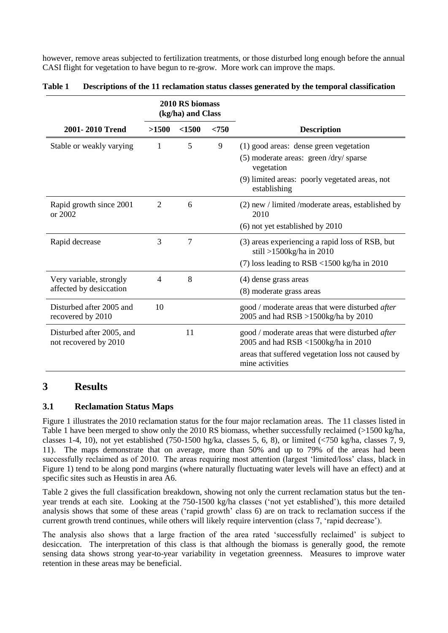however, remove areas subjected to fertilization treatments, or those disturbed long enough before the annual CASI flight for vegetation to have begun to re-grow. More work can improve the maps.

|                                                    | 2010 RS biomass<br>(kg/ha) and Class |    |   |                                                                                                                                                                  |  |  |  |  |
|----------------------------------------------------|--------------------------------------|----|---|------------------------------------------------------------------------------------------------------------------------------------------------------------------|--|--|--|--|
| 2001-2010 Trend                                    | < 750<br>>1500<br><1500              |    |   | <b>Description</b>                                                                                                                                               |  |  |  |  |
| Stable or weakly varying                           | 1                                    | 5  | 9 | (1) good areas: dense green vegetation<br>(5) moderate areas: green /dry/ sparse<br>vegetation<br>(9) limited areas: poorly vegetated areas, not<br>establishing |  |  |  |  |
| Rapid growth since 2001<br>or 2002                 | 2                                    | 6  |   | $(2)$ new / limited /moderate areas, established by<br>2010<br>(6) not yet established by 2010                                                                   |  |  |  |  |
| Rapid decrease                                     | 3                                    | 7  |   | (3) areas experiencing a rapid loss of RSB, but<br>still >1500kg/ha in 2010<br>(7) loss leading to $RSB < 1500$ kg/ha in 2010                                    |  |  |  |  |
| Very variable, strongly<br>affected by desiccation | 4                                    | 8  |   | (4) dense grass areas<br>(8) moderate grass areas                                                                                                                |  |  |  |  |
| Disturbed after 2005 and<br>recovered by 2010      | 10                                   |    |   | good / moderate areas that were disturbed <i>after</i><br>2005 and had RSB >1500kg/ha by 2010                                                                    |  |  |  |  |
| Disturbed after 2005, and<br>not recovered by 2010 |                                      | 11 |   | good / moderate areas that were disturbed after<br>2005 and had RSB <1500kg/ha in 2010<br>areas that suffered vegetation loss not caused by<br>mine activities   |  |  |  |  |

| Table 1 | Descriptions of the 11 reclamation status classes generated by the temporal classification |  |  |
|---------|--------------------------------------------------------------------------------------------|--|--|
|         |                                                                                            |  |  |

# **3 Results**

### **3.1 Reclamation Status Maps**

Figure 1 illustrates the 2010 reclamation status for the four major reclamation areas. The 11 classes listed in Table 1 have been merged to show only the 2010 RS biomass, whether successfully reclaimed (>1500 kg/ha, classes 1-4, 10), not yet established (750-1500 hg/ka, classes 5, 6, 8), or limited  $\langle$  <750 kg/ha, classes 7, 9, 11). The maps demonstrate that on average, more than 50% and up to 79% of the areas had been successfully reclaimed as of 2010. The areas requiring most attention (largest 'limited/loss' class, black in Figure 1) tend to be along pond margins (where naturally fluctuating water levels will have an effect) and at specific sites such as Heustis in area A6.

Table 2 gives the full classification breakdown, showing not only the current reclamation status but the tenyear trends at each site. Looking at the 750-1500 kg/ha classes ('not yet established'), this more detailed analysis shows that some of these areas ('rapid growth' class 6) are on track to reclamation success if the current growth trend continues, while others will likely require intervention (class 7, 'rapid decrease').

The analysis also shows that a large fraction of the area rated 'successfully reclaimed' is subject to desiccation. The interpretation of this class is that although the biomass is generally good, the remote sensing data shows strong year-to-year variability in vegetation greenness. Measures to improve water retention in these areas may be beneficial.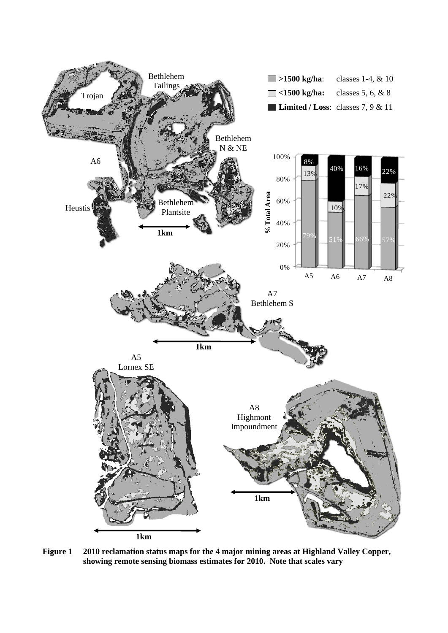

**Figure 1 2010 reclamation status maps for the 4 major mining areas at Highland Valley Copper, showing remote sensing biomass estimates for 2010. Note that scales vary**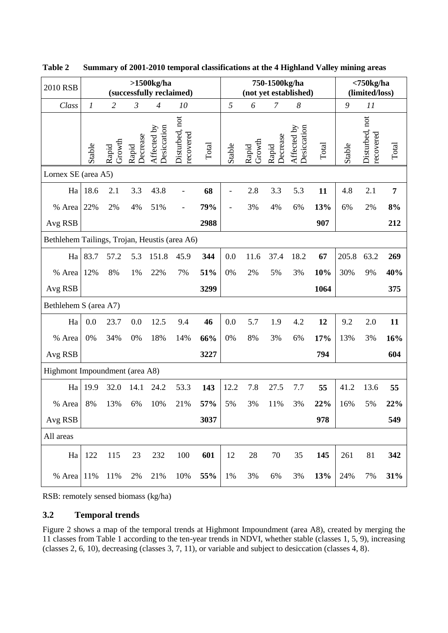| 2010 RSB                                      | $>1500$ kg/ha<br>(successfully reclaimed) |                 |                   |                            |                             | 750-1500kg/ha<br>(not yet established) |        |                 |                   | $<$ 750 $kg/ha$<br>(limited/loss) |       |        |                             |                |
|-----------------------------------------------|-------------------------------------------|-----------------|-------------------|----------------------------|-----------------------------|----------------------------------------|--------|-----------------|-------------------|-----------------------------------|-------|--------|-----------------------------|----------------|
| Class                                         | $\boldsymbol{l}$                          | $\overline{2}$  | $\mathfrak{Z}$    | $\overline{4}$             | 10                          |                                        | 5      | 6               | 7                 | $\boldsymbol{8}$                  |       | 9      | 11                          |                |
|                                               | Stable                                    | Growth<br>Rapid | Decrease<br>Rapid | Desiccation<br>Affected by | Disturbed, not<br>recovered | $\rm Total$                            | Stable | Growth<br>Rapid | Decrease<br>Rapid | Affected by<br>Desiccation        | Total | Stable | Disturbed, not<br>recovered | Total          |
| Lornex SE (area A5)                           |                                           |                 |                   |                            |                             |                                        |        |                 |                   |                                   |       |        |                             |                |
| Ha                                            | 18.6                                      | 2.1             | 3.3               | 43.8                       |                             | 68                                     |        | 2.8             | 3.3               | 5.3                               | 11    | 4.8    | 2.1                         | $\overline{7}$ |
| % Area                                        | 22%                                       | 2%              | 4%                | 51%                        | $\overline{\phantom{0}}$    | 79%                                    |        | 3%              | 4%                | 6%                                | 13%   | 6%     | 2%                          | 8%             |
| Avg RSB                                       |                                           |                 |                   |                            |                             | 2988                                   |        |                 |                   |                                   | 907   |        |                             | 212            |
| Bethlehem Tailings, Trojan, Heustis (area A6) |                                           |                 |                   |                            |                             |                                        |        |                 |                   |                                   |       |        |                             |                |
| Ha                                            | 83.7                                      | 57.2            | 5.3               | 151.8                      | 45.9                        | 344                                    | 0.0    | 11.6            | 37.4              | 18.2                              | 67    | 205.8  | 63.2                        | 269            |
| % Area                                        | 12%                                       | 8%              | 1%                | 22%                        | 7%                          | 51%                                    | 0%     | 2%              | 5%                | 3%                                | 10%   | 30%    | 9%                          | 40%            |
| Avg RSB                                       |                                           |                 |                   |                            |                             | 3299                                   |        |                 |                   |                                   | 1064  |        |                             | 375            |
| Bethlehem S (area A7)                         |                                           |                 |                   |                            |                             |                                        |        |                 |                   |                                   |       |        |                             |                |
| Ha                                            | 0.0                                       | 23.7            | 0.0               | 12.5                       | 9.4                         | 46                                     | 0.0    | 5.7             | 1.9               | 4.2                               | 12    | 9.2    | 2.0                         | 11             |
| % Area                                        | 0%                                        | 34%             | 0%                | 18%                        | 14%                         | 66%                                    | 0%     | 8%              | 3%                | 6%                                | 17%   | 13%    | 3%                          | 16%            |
| Avg RSB                                       |                                           |                 |                   |                            |                             | 3227                                   |        |                 |                   |                                   | 794   |        |                             | 604            |
| Highmont Impoundment (area A8)                |                                           |                 |                   |                            |                             |                                        |        |                 |                   |                                   |       |        |                             |                |
| Ha                                            | 19.9                                      | 32.0            | 14.1              | 24.2                       | 53.3                        | 143                                    | 12.2   | 7.8             | 27.5              | 7.7                               | 55    | 41.2   | 13.6                        | 55             |
| % Area                                        | 8%                                        | 13%             | 6%                | 10%                        | 21%                         | 57%                                    | 5%     | 3%              | 11%               | 3%                                | 22%   | 16%    | 5%                          | 22%            |
| Avg RSB                                       |                                           |                 |                   |                            |                             | 3037                                   |        |                 |                   |                                   | 978   |        |                             | 549            |
| All areas                                     |                                           |                 |                   |                            |                             |                                        |        |                 |                   |                                   |       |        |                             |                |
| Ha                                            | 122                                       | 115             | 23                | 232                        | 100                         | 601                                    | 12     | 28              | $70\,$            | 35                                | 145   | 261    | 81                          | 342            |
| % Area                                        | 11%                                       | 11%             | 2%                | 21%                        | 10%                         | 55%                                    | 1%     | 3%              | 6%                | 3%                                | 13%   | 24%    | 7%                          | 31%            |

**Table 2 Summary of 2001-2010 temporal classifications at the 4 Highland Valley mining areas**

RSB: remotely sensed biomass (kg/ha)

#### **3.2 Temporal trends**

Figure 2 shows a map of the temporal trends at Highmont Impoundment (area A8), created by merging the 11 classes from Table 1 according to the ten-year trends in NDVI, whether stable (classes 1, 5, 9), increasing (classes 2, 6, 10), decreasing (classes 3, 7, 11), or variable and subject to desiccation (classes 4, 8).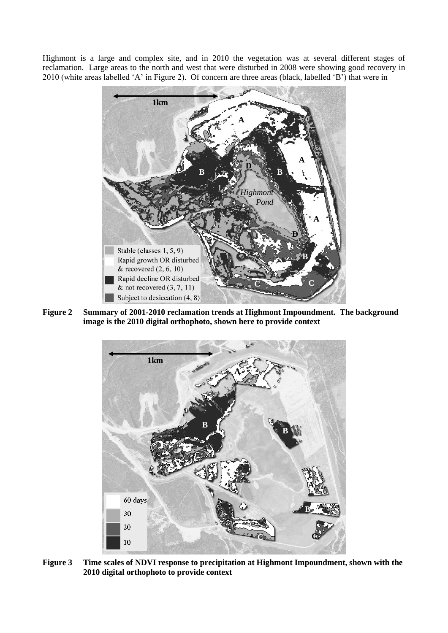Highmont is a large and complex site, and in 2010 the vegetation was at several different stages of reclamation. Large areas to the north and west that were disturbed in 2008 were showing good recovery in 2010 (white areas labelled 'A' in Figure 2). Of concern are three areas (black, labelled 'B') that were in



**Figure 2 Summary of 2001-2010 reclamation trends at Highmont Impoundment. The background image is the 2010 digital orthophoto, shown here to provide context**



**Figure 3 Time scales of NDVI response to precipitation at Highmont Impoundment, shown with the 2010 digital orthophoto to provide context**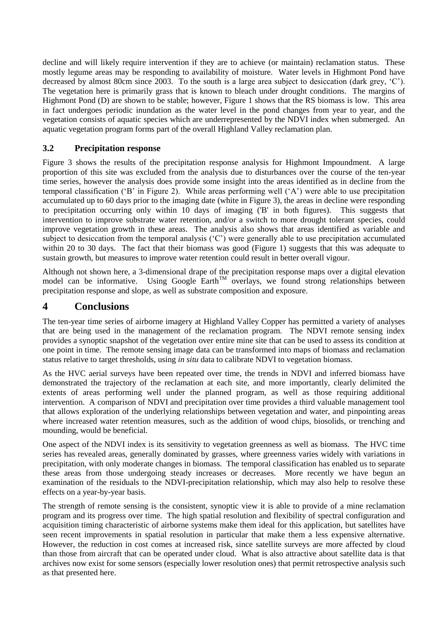decline and will likely require intervention if they are to achieve (or maintain) reclamation status. These mostly legume areas may be responding to availability of moisture. Water levels in Highmont Pond have decreased by almost 80cm since 2003. To the south is a large area subject to desiccation (dark grey, 'C'). The vegetation here is primarily grass that is known to bleach under drought conditions. The margins of Highmont Pond (D) are shown to be stable; however, Figure 1 shows that the RS biomass is low. This area in fact undergoes periodic inundation as the water level in the pond changes from year to year, and the vegetation consists of aquatic species which are underrepresented by the NDVI index when submerged. An aquatic vegetation program forms part of the overall Highland Valley reclamation plan.

#### **3.2 Precipitation response**

Figure 3 shows the results of the precipitation response analysis for Highmont Impoundment. A large proportion of this site was excluded from the analysis due to disturbances over the course of the ten-year time series, however the analysis does provide some insight into the areas identified as in decline from the temporal classification ('B' in Figure 2). While areas performing well ('A') were able to use precipitation accumulated up to 60 days prior to the imaging date (white in Figure 3), the areas in decline were responding to precipitation occurring only within 10 days of imaging ('B' in both figures). This suggests that intervention to improve substrate water retention, and/or a switch to more drought tolerant species, could improve vegetation growth in these areas. The analysis also shows that areas identified as variable and subject to desiccation from the temporal analysis ('C') were generally able to use precipitation accumulated within 20 to 30 days. The fact that their biomass was good (Figure 1) suggests that this was adequate to sustain growth, but measures to improve water retention could result in better overall vigour.

Although not shown here, a 3-dimensional drape of the precipitation response maps over a digital elevation model can be informative. Using Google  $\text{Earth}^{\text{TM}}$  overlays, we found strong relationships between precipitation response and slope, as well as substrate composition and exposure.

### **4 Conclusions**

The ten-year time series of airborne imagery at Highland Valley Copper has permitted a variety of analyses that are being used in the management of the reclamation program. The NDVI remote sensing index provides a synoptic snapshot of the vegetation over entire mine site that can be used to assess its condition at one point in time. The remote sensing image data can be transformed into maps of biomass and reclamation status relative to target thresholds, using *in situ* data to calibrate NDVI to vegetation biomass.

As the HVC aerial surveys have been repeated over time, the trends in NDVI and inferred biomass have demonstrated the trajectory of the reclamation at each site, and more importantly, clearly delimited the extents of areas performing well under the planned program, as well as those requiring additional intervention. A comparison of NDVI and precipitation over time provides a third valuable management tool that allows exploration of the underlying relationships between vegetation and water, and pinpointing areas where increased water retention measures, such as the addition of wood chips, biosolids, or trenching and mounding, would be beneficial.

One aspect of the NDVI index is its sensitivity to vegetation greenness as well as biomass. The HVC time series has revealed areas, generally dominated by grasses, where greenness varies widely with variations in precipitation, with only moderate changes in biomass. The temporal classification has enabled us to separate these areas from those undergoing steady increases or decreases. More recently we have begun an examination of the residuals to the NDVI-precipitation relationship, which may also help to resolve these effects on a year-by-year basis.

The strength of remote sensing is the consistent, synoptic view it is able to provide of a mine reclamation program and its progress over time. The high spatial resolution and flexibility of spectral configuration and acquisition timing characteristic of airborne systems make them ideal for this application, but satellites have seen recent improvements in spatial resolution in particular that make them a less expensive alternative. However, the reduction in cost comes at increased risk, since satellite surveys are more affected by cloud than those from aircraft that can be operated under cloud. What is also attractive about satellite data is that archives now exist for some sensors (especially lower resolution ones) that permit retrospective analysis such as that presented here.